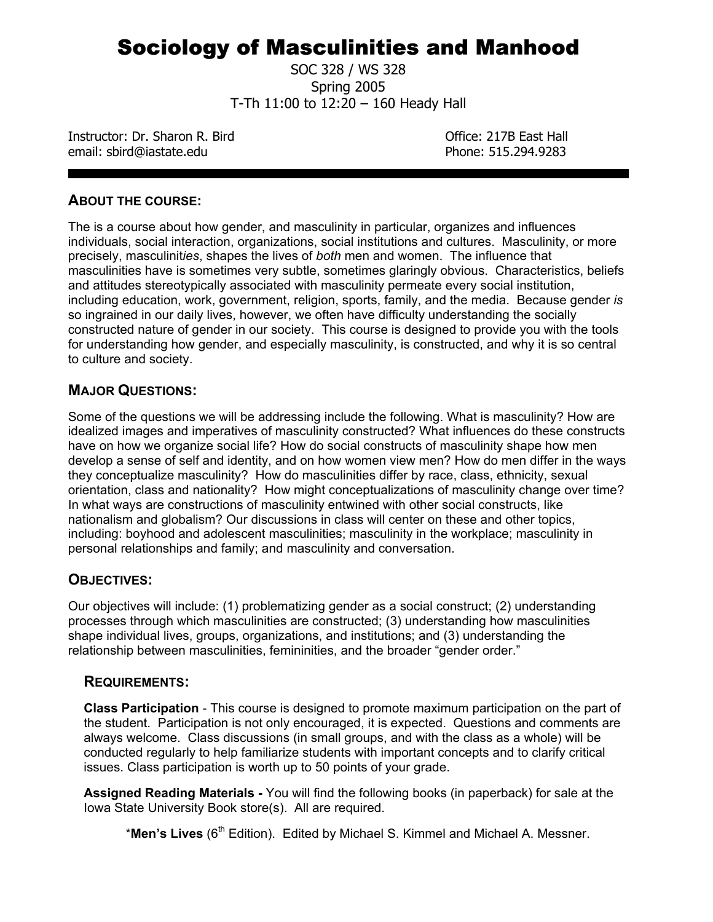# Sociology of Masculinities and Manhood

SOC 328 / WS 328 Spring 2005 T-Th 11:00 to 12:20 – 160 Heady Hall

Instructor: Dr. Sharon R. Bird **Canadian Control Control Control Control** Office: 217B East Hall email: sbird@iastate.edu Phone: 515.294.9283

## **ABOUT THE COURSE:**

The is a course about how gender, and masculinity in particular, organizes and influences individuals, social interaction, organizations, social institutions and cultures. Masculinity, or more precisely, masculinit*ies*, shapes the lives of *both* men and women. The influence that masculinities have is sometimes very subtle, sometimes glaringly obvious. Characteristics, beliefs and attitudes stereotypically associated with masculinity permeate every social institution, including education, work, government, religion, sports, family, and the media. Because gender *is* so ingrained in our daily lives, however, we often have difficulty understanding the socially constructed nature of gender in our society. This course is designed to provide you with the tools for understanding how gender, and especially masculinity, is constructed, and why it is so central to culture and society.

## **MAJOR QUESTIONS:**

Some of the questions we will be addressing include the following. What is masculinity? How are idealized images and imperatives of masculinity constructed? What influences do these constructs have on how we organize social life? How do social constructs of masculinity shape how men develop a sense of self and identity, and on how women view men? How do men differ in the ways they conceptualize masculinity? How do masculinities differ by race, class, ethnicity, sexual orientation, class and nationality? How might conceptualizations of masculinity change over time? In what ways are constructions of masculinity entwined with other social constructs, like nationalism and globalism? Our discussions in class will center on these and other topics, including: boyhood and adolescent masculinities; masculinity in the workplace; masculinity in personal relationships and family; and masculinity and conversation.

## **OBJECTIVES:**

Our objectives will include: (1) problematizing gender as a social construct; (2) understanding processes through which masculinities are constructed; (3) understanding how masculinities shape individual lives, groups, organizations, and institutions; and (3) understanding the relationship between masculinities, femininities, and the broader "gender order."

## **REQUIREMENTS:**

**Class Participation** - This course is designed to promote maximum participation on the part of the student. Participation is not only encouraged, it is expected. Questions and comments are always welcome. Class discussions (in small groups, and with the class as a whole) will be conducted regularly to help familiarize students with important concepts and to clarify critical issues. Class participation is worth up to 50 points of your grade.

**Assigned Reading Materials -** You will find the following books (in paperback) for sale at the Iowa State University Book store(s). All are required.

\*Men's Lives (6<sup>th</sup> Edition). Edited by Michael S. Kimmel and Michael A. Messner.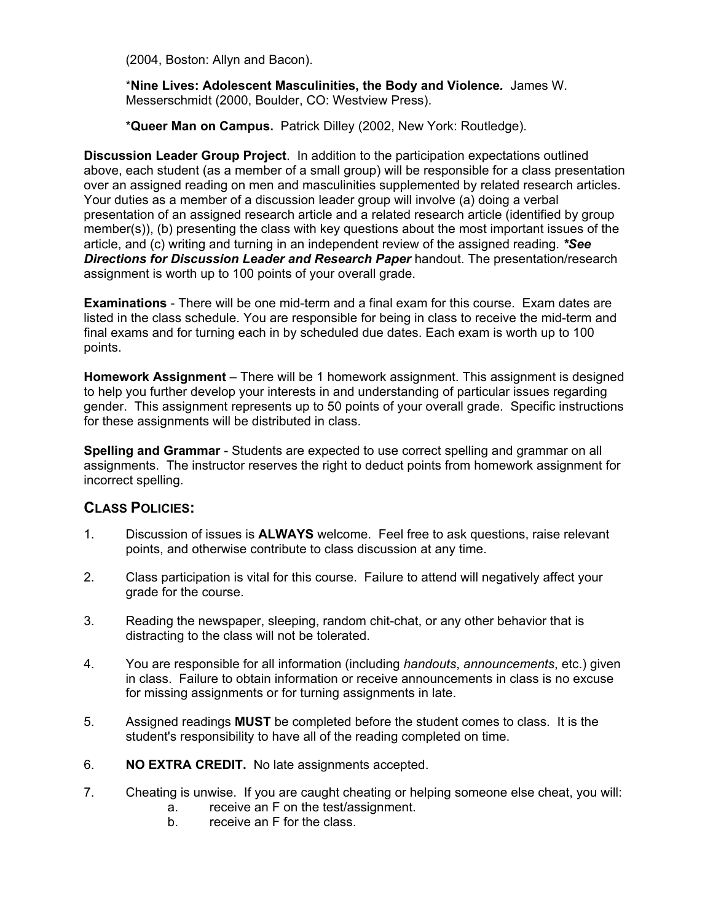(2004, Boston: Allyn and Bacon).

\***Nine Lives: Adolescent Masculinities, the Body and Violence***.* James W. Messerschmidt (2000, Boulder, CO: Westview Press).

\***Queer Man on Campus.** Patrick Dilley (2002, New York: Routledge).

**Discussion Leader Group Project**. In addition to the participation expectations outlined above, each student (as a member of a small group) will be responsible for a class presentation over an assigned reading on men and masculinities supplemented by related research articles. Your duties as a member of a discussion leader group will involve (a) doing a verbal presentation of an assigned research article and a related research article (identified by group member(s)), (b) presenting the class with key questions about the most important issues of the article, and (c) writing and turning in an independent review of the assigned reading. *\*See Directions for Discussion Leader and Research Paper* handout. The presentation/research assignment is worth up to 100 points of your overall grade.

**Examinations** - There will be one mid-term and a final exam for this course. Exam dates are listed in the class schedule. You are responsible for being in class to receive the mid-term and final exams and for turning each in by scheduled due dates. Each exam is worth up to 100 points.

**Homework Assignment** – There will be 1 homework assignment. This assignment is designed to help you further develop your interests in and understanding of particular issues regarding gender. This assignment represents up to 50 points of your overall grade. Specific instructions for these assignments will be distributed in class.

**Spelling and Grammar** - Students are expected to use correct spelling and grammar on all assignments. The instructor reserves the right to deduct points from homework assignment for incorrect spelling.

## **CLASS POLICIES:**

- 1. Discussion of issues is **ALWAYS** welcome. Feel free to ask questions, raise relevant points, and otherwise contribute to class discussion at any time.
- 2. Class participation is vital for this course. Failure to attend will negatively affect your grade for the course.
- 3. Reading the newspaper, sleeping, random chit-chat, or any other behavior that is distracting to the class will not be tolerated.
- 4. You are responsible for all information (including *handouts*, *announcements*, etc.) given in class. Failure to obtain information or receive announcements in class is no excuse for missing assignments or for turning assignments in late.
- 5. Assigned readings **MUST** be completed before the student comes to class. It is the student's responsibility to have all of the reading completed on time.
- 6. **NO EXTRA CREDIT.** No late assignments accepted.
- 7. Cheating is unwise. If you are caught cheating or helping someone else cheat, you will:
	- a. receive an F on the test/assignment.
	- b. receive an F for the class.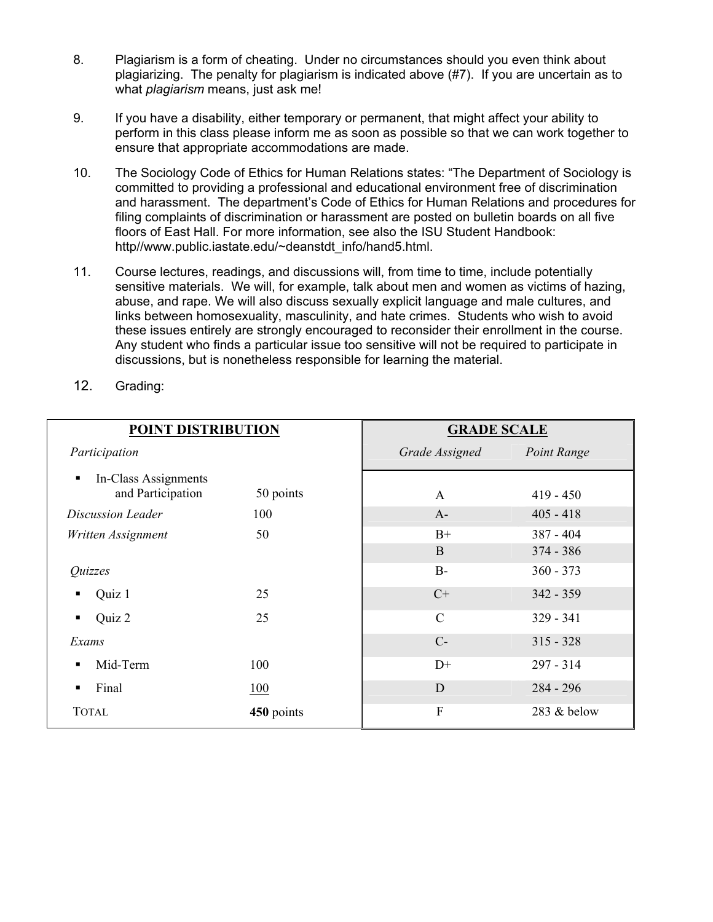- 8. Plagiarism is a form of cheating. Under no circumstances should you even think about plagiarizing. The penalty for plagiarism is indicated above (#7). If you are uncertain as to what *plagiarism* means, just ask me!
- 9. If you have a disability, either temporary or permanent, that might affect your ability to perform in this class please inform me as soon as possible so that we can work together to ensure that appropriate accommodations are made.
- 10. The Sociology Code of Ethics for Human Relations states: "The Department of Sociology is committed to providing a professional and educational environment free of discrimination and harassment. The department's Code of Ethics for Human Relations and procedures for filing complaints of discrimination or harassment are posted on bulletin boards on all five floors of East Hall. For more information, see also the ISU Student Handbook: http//www.public.iastate.edu/~deanstdt\_info/hand5.html.
- 11. Course lectures, readings, and discussions will, from time to time, include potentially sensitive materials. We will, for example, talk about men and women as victims of hazing, abuse, and rape. We will also discuss sexually explicit language and male cultures, and links between homosexuality, masculinity, and hate crimes. Students who wish to avoid these issues entirely are strongly encouraged to reconsider their enrollment in the course. Any student who finds a particular issue too sensitive will not be required to participate in discussions, but is nonetheless responsible for learning the material.
- 12. Grading:

| <b>POINT DISTRIBUTION</b>                      |            | <b>GRADE SCALE</b>        |             |  |
|------------------------------------------------|------------|---------------------------|-------------|--|
| Participation                                  |            | Grade Assigned            | Point Range |  |
| In-Class Assignments<br>٠<br>and Participation | 50 points  | $\mathbf{A}$              | $419 - 450$ |  |
| Discussion Leader                              | 100        | $A-$                      | $405 - 418$ |  |
| Written Assignment                             | 50         | $B+$                      | $387 - 404$ |  |
|                                                |            | B                         | $374 - 386$ |  |
| Quizzes                                        |            | $B-$                      | $360 - 373$ |  |
| Quiz 1                                         | 25         | $C+$                      | $342 - 359$ |  |
| Quiz 2<br>٠                                    | 25         | $\mathcal{C}$             | $329 - 341$ |  |
| Exams                                          |            | $C-$                      | $315 - 328$ |  |
| Mid-Term                                       | 100        | $D+$                      | $297 - 314$ |  |
| Final                                          | 100        | D                         | $284 - 296$ |  |
| <b>TOTAL</b>                                   | 450 points | $\boldsymbol{\mathrm{F}}$ | 283 & below |  |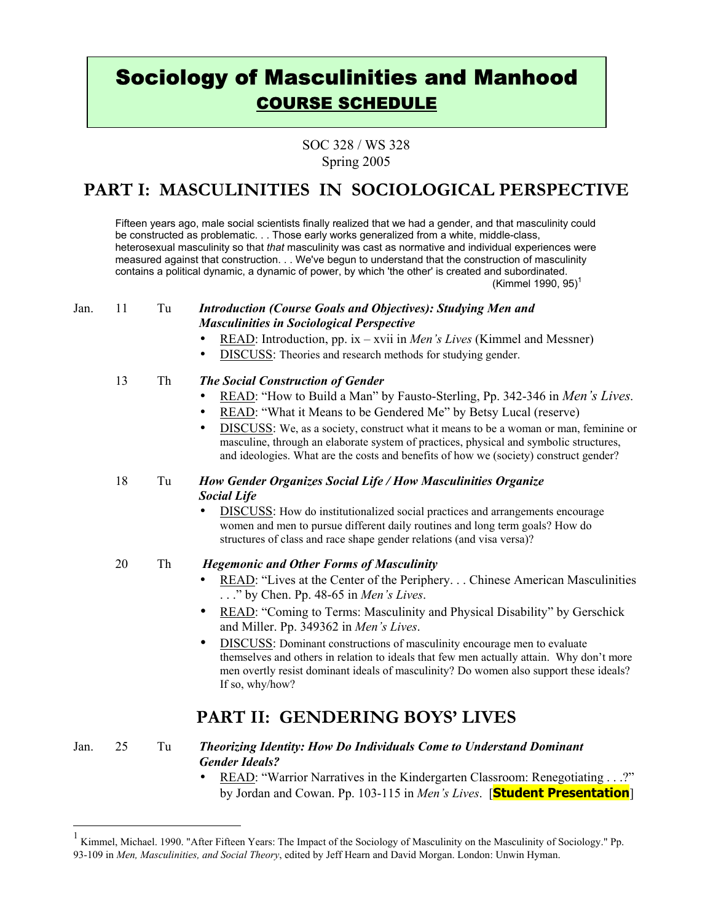# Sociology of Masculinities and Manhood COURSE SCHEDULE

SOC 328 / WS 328 Spring 2005

## **PART I: MASCULINITIES IN SOCIOLOGICAL PERSPECTIVE**

Fifteen years ago, male social scientists finally realized that we had a gender, and that masculinity could be constructed as problematic. . . Those early works generalized from a white, middle-class, heterosexual masculinity so that *that* masculinity was cast as normative and individual experiences were measured against that construction. . . We've begun to understand that the construction of masculinity contains a political dynamic, a dynamic of power, by which 'the other' is created and subordinated. (Kimmel 1990, 95)<sup>1</sup>

#### Jan. 11 Tu *Introduction (Course Goals and Objectives): Studying Men and Masculinities in Sociological Perspective*

- READ: Introduction, pp. ix xvii in *Men's Lives* (Kimmel and Messner)
- DISCUSS: Theories and research methods for studying gender.

### 13 Th *The Social Construction of Gender*

- READ: "How to Build a Man" by Fausto-Sterling, Pp. 342-346 in *Men's Lives.*
- READ: "What it Means to be Gendered Me" by Betsy Lucal (reserve)
- DISCUSS: We, as a society, construct what it means to be a woman or man, feminine or masculine, through an elaborate system of practices, physical and symbolic structures, and ideologies. What are the costs and benefits of how we (society) construct gender?

#### 18 Tu *How Gender Organizes Social Life / How Masculinities Organize Social Life*

- **DISCUSS**: How do institutionalized social practices and arrangements encourage women and men to pursue different daily routines and long term goals? How do structures of class and race shape gender relations (and visa versa)?
- 

#### 20 Th *Hegemonic and Other Forms of Masculinity*

- READ: "Lives at the Center of the Periphery. . . Chinese American Masculinities . . ." by Chen. Pp. 48-65 in *Men's Lives*.
- READ: "Coming to Terms: Masculinity and Physical Disability" by Gerschick and Miller. Pp. 349362 in *Men's Lives*.
- DISCUSS: Dominant constructions of masculinity encourage men to evaluate themselves and others in relation to ideals that few men actually attain. Why don't more men overtly resist dominant ideals of masculinity? Do women also support these ideals? If so, why/how?

## **PART II: GENDERING BOYS' LIVES**

 $\overline{a}$ 

#### Jan. 25 Tu *Theorizing Identity: How Do Individuals Come to Understand Dominant Gender Ideals?*

• READ: "Warrior Narratives in the Kindergarten Classroom: Renegotiating . . .?" by Jordan and Cowan. Pp. 103-115 in *Men's Lives*. [**Student Presentation**]

<sup>1</sup> Kimmel, Michael. 1990. "After Fifteen Years: The Impact of the Sociology of Masculinity on the Masculinity of Sociology." Pp. 93-109 in *Men, Masculinities, and Social Theory*, edited by Jeff Hearn and David Morgan. London: Unwin Hyman.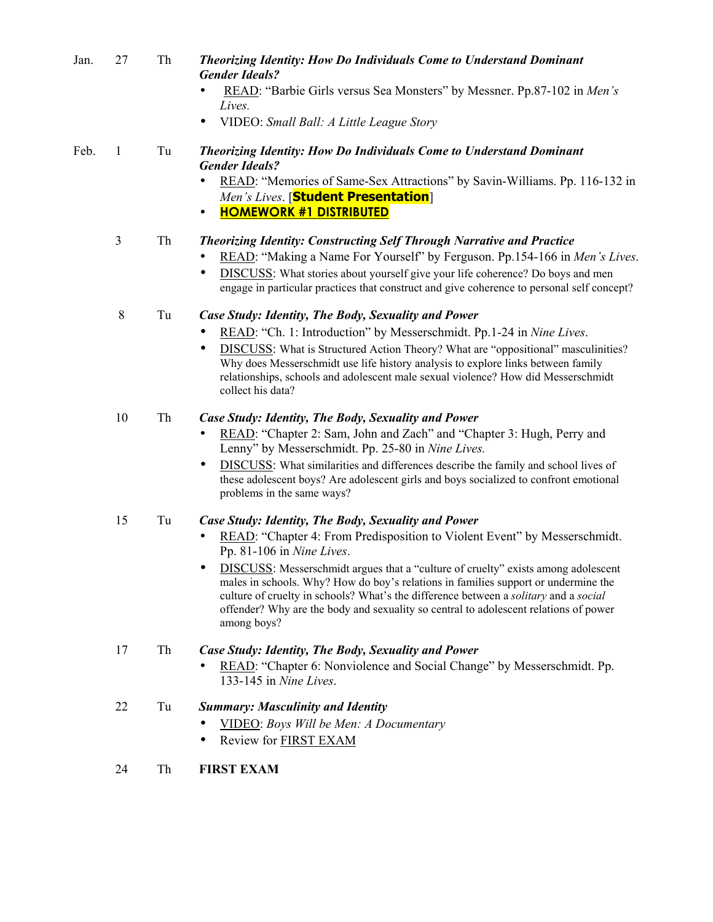| Jan. | 27 | Th                  | <b>Theorizing Identity: How Do Individuals Come to Understand Dominant</b><br><b>Gender Ideals?</b><br>READ: "Barbie Girls versus Sea Monsters" by Messner. Pp.87-102 in Men's<br>Lives.<br>VIDEO: Small Ball: A Little League Story                                                                                                                                                                                                                                                                                                    |
|------|----|---------------------|-----------------------------------------------------------------------------------------------------------------------------------------------------------------------------------------------------------------------------------------------------------------------------------------------------------------------------------------------------------------------------------------------------------------------------------------------------------------------------------------------------------------------------------------|
| Feb. | 1  | Tu                  | <b>Theorizing Identity: How Do Individuals Come to Understand Dominant</b><br><b>Gender Ideals?</b><br>READ: "Memories of Same-Sex Attractions" by Savin-Williams. Pp. 116-132 in<br>Men's Lives. [Student Presentation]<br><b>HOMEWORK #1 DISTRIBUTED</b><br>٠                                                                                                                                                                                                                                                                         |
|      | 3  | Th                  | <b>Theorizing Identity: Constructing Self Through Narrative and Practice</b><br>READ: "Making a Name For Yourself" by Ferguson. Pp.154-166 in Men's Lives.<br>DISCUSS: What stories about yourself give your life coherence? Do boys and men<br>engage in particular practices that construct and give coherence to personal self concept?                                                                                                                                                                                              |
|      | 8  | Tu                  | Case Study: Identity, The Body, Sexuality and Power<br>READ: "Ch. 1: Introduction" by Messerschmidt. Pp.1-24 in Nine Lives.<br><b>DISCUSS:</b> What is Structured Action Theory? What are "oppositional" masculinities?<br>Why does Messerschmidt use life history analysis to explore links between family<br>relationships, schools and adolescent male sexual violence? How did Messerschmidt<br>collect his data?                                                                                                                   |
|      | 10 | Th                  | Case Study: Identity, The Body, Sexuality and Power<br>READ: "Chapter 2: Sam, John and Zach" and "Chapter 3: Hugh, Perry and<br>Lenny" by Messerschmidt. Pp. 25-80 in Nine Lives.<br>DISCUSS: What similarities and differences describe the family and school lives of<br>these adolescent boys? Are adolescent girls and boys socialized to confront emotional<br>problems in the same ways?                                                                                                                                          |
|      | 15 | Tu                  | Case Study: Identity, The Body, Sexuality and Power<br>READ: "Chapter 4: From Predisposition to Violent Event" by Messerschmidt.<br>Pp. 81-106 in Nine Lives.<br>DISCUSS: Messerschmidt argues that a "culture of cruelty" exists among adolescent<br>males in schools. Why? How do boy's relations in families support or undermine the<br>culture of cruelty in schools? What's the difference between a solitary and a social<br>offender? Why are the body and sexuality so central to adolescent relations of power<br>among boys? |
|      | 17 | Th                  | Case Study: Identity, The Body, Sexuality and Power<br>READ: "Chapter 6: Nonviolence and Social Change" by Messerschmidt. Pp.<br>133-145 in Nine Lives.                                                                                                                                                                                                                                                                                                                                                                                 |
|      | 22 | $\operatorname{Tu}$ | <b>Summary: Masculinity and Identity</b><br>VIDEO: Boys Will be Men: A Documentary<br>Review for <b>FIRST EXAM</b><br>$\bullet$                                                                                                                                                                                                                                                                                                                                                                                                         |
|      | 24 | Th                  | <b>FIRST EXAM</b>                                                                                                                                                                                                                                                                                                                                                                                                                                                                                                                       |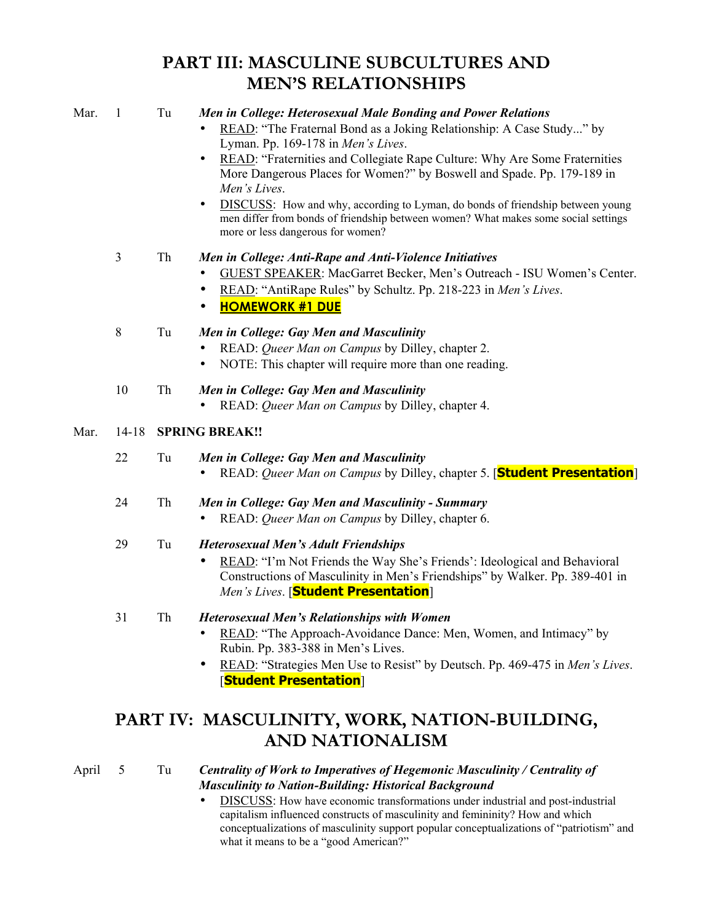# **PART III: MASCULINE SUBCULTURES AND MEN'S RELATIONSHIPS**

| Mar.  | $\mathbf{1}$ | Tu | Men in College: Heterosexual Male Bonding and Power Relations<br>READ: "The Fraternal Bond as a Joking Relationship: A Case Study" by<br>Lyman. Pp. 169-178 in Men's Lives.<br>READ: "Fraternities and Collegiate Rape Culture: Why Are Some Fraternities<br>More Dangerous Places for Women?" by Boswell and Spade. Pp. 179-189 in<br>Men's Lives.<br><b>DISCUSS:</b> How and why, according to Lyman, do bonds of friendship between young<br>men differ from bonds of friendship between women? What makes some social settings<br>more or less dangerous for women? |
|-------|--------------|----|-------------------------------------------------------------------------------------------------------------------------------------------------------------------------------------------------------------------------------------------------------------------------------------------------------------------------------------------------------------------------------------------------------------------------------------------------------------------------------------------------------------------------------------------------------------------------|
|       | 3            | Th | Men in College: Anti-Rape and Anti-Violence Initiatives<br><b>GUEST SPEAKER: MacGarret Becker, Men's Outreach - ISU Women's Center.</b><br>READ: "AntiRape Rules" by Schultz. Pp. 218-223 in Men's Lives.<br><b>HOMEWORK #1 DUE</b><br>$\bullet$                                                                                                                                                                                                                                                                                                                        |
|       | 8            | Tu | Men in College: Gay Men and Masculinity<br>READ: Queer Man on Campus by Dilley, chapter 2.<br>NOTE: This chapter will require more than one reading.                                                                                                                                                                                                                                                                                                                                                                                                                    |
|       | 10           | Th | Men in College: Gay Men and Masculinity<br>READ: Queer Man on Campus by Dilley, chapter 4.                                                                                                                                                                                                                                                                                                                                                                                                                                                                              |
| Mar.  | $14 - 18$    |    | <b>SPRING BREAK!!</b>                                                                                                                                                                                                                                                                                                                                                                                                                                                                                                                                                   |
|       | 22           | Tu | Men in College: Gay Men and Masculinity<br>READ: Queer Man on Campus by Dilley, chapter 5. [Student Presentation]                                                                                                                                                                                                                                                                                                                                                                                                                                                       |
|       | 24           | Th | Men in College: Gay Men and Masculinity - Summary<br>READ: Queer Man on Campus by Dilley, chapter 6.                                                                                                                                                                                                                                                                                                                                                                                                                                                                    |
|       | 29           | Tu | <b>Heterosexual Men's Adult Friendships</b><br>READ: "I'm Not Friends the Way She's Friends': Ideological and Behavioral<br>Constructions of Masculinity in Men's Friendships" by Walker. Pp. 389-401 in<br>Men's Lives. [Student Presentation]                                                                                                                                                                                                                                                                                                                         |
|       | 31           | Th | <b>Heterosexual Men's Relationships with Women</b><br>READ: "The Approach-Avoidance Dance: Men, Women, and Intimacy" by<br>Rubin. Pp. 383-388 in Men's Lives.<br>READ: "Strategies Men Use to Resist" by Deutsch. Pp. 469-475 in Men's Lives.<br><b>Student Presentation</b>                                                                                                                                                                                                                                                                                            |
|       |              |    | PART IV: MASCULINITY, WORK, NATION-BUILDING,<br><b>AND NATIONALISM</b>                                                                                                                                                                                                                                                                                                                                                                                                                                                                                                  |
| April | 5            | Tu | Centrality of Work to Imperatives of Hegemonic Masculinity / Centrality of<br><b>Masculinity to Nation-Building: Historical Background</b><br><b>DISCUSS</b> : How have economic transformations under industrial and post-industrial<br>capitalism influenced constructs of masculinity and femininity? How and which                                                                                                                                                                                                                                                  |

capitalism influenced constructs of masculinity and femininity? How and which conceptualizations of masculinity support popular conceptualizations of "patriotism" and what it means to be a "good American?"